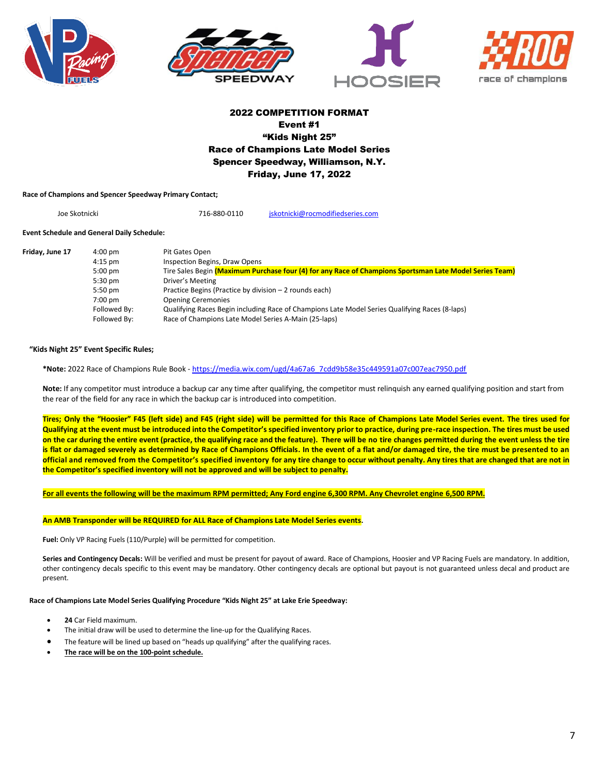







# 2022 COMPETITION FORMAT Event #1 "Kids Night 25" Race of Champions Late Model Series Spencer Speedway, Williamson, N.Y. Friday, June 17, 2022

**Race of Champions and Spencer Speedway Primary Contact;**

Joe Skotnicki 716-880-0110 [jskotnicki@rocmodifiedseries.com](mailto:jskotnicki@rocmodifiedseries.com)

## **Event Schedule and General Daily Schedule:**

| Friday, June 17 | $4:00 \text{ pm}$ | Pit Gates Open                                                                                          |
|-----------------|-------------------|---------------------------------------------------------------------------------------------------------|
|                 | $4:15$ pm         | Inspection Begins, Draw Opens                                                                           |
|                 | $5:00$ pm         | Tire Sales Begin (Maximum Purchase four (4) for any Race of Champions Sportsman Late Model Series Team) |
|                 | $5:30$ pm         | Driver's Meeting                                                                                        |
|                 | $5:50$ pm         | Practice Begins (Practice by division – 2 rounds each)                                                  |
|                 | $7:00$ pm         | <b>Opening Ceremonies</b>                                                                               |
|                 | Followed By:      | Qualifying Races Begin including Race of Champions Late Model Series Qualifying Races (8-laps)          |
|                 | Followed By:      | Race of Champions Late Model Series A-Main (25-laps)                                                    |

# **"Kids Night 25" Event Specific Rules;**

**\*Note:** 2022 Race of Champions Rule Book - [https://media.wix.com/ugd/4a67a6\\_7cdd9b58e35c449591a07c007eac7950.pdf](https://media.wix.com/ugd/4a67a6_7cdd9b58e35c449591a07c007eac7950.pdf)

**Note:** If any competitor must introduce a backup car any time after qualifying, the competitor must relinquish any earned qualifying position and start from the rear of the field for any race in which the backup car is introduced into competition.

Tires; Only the "Hoosier" F45 (left side) and F45 (right side) will be permitted for this Race of Champions Late Model Series event. The tires used for **Qualifying at the event must be introduced into the Competitor's specified inventory prior to practice, during pre-race inspection. The tires must be used** on the car during the entire event (practice, the qualifying race and the feature). There will be no tire changes permitted during the event unless the tire is flat or damaged severely as determined by Race of Champions Officials. In the event of a flat and/or damaged tire, the tire must be presented to an **official and removed from the Competitor's specified inventory for any tire change to occur without penalty. Any tires that are changed that are not in the Competitor's specified inventory will not be approved and will be subject to penalty.**

**For all events the following will be the maximum RPM permitted; Any Ford engine 6,300 RPM. Any Chevrolet engine 6,500 RPM.**

# **An AMB Transponder will be REQUIRED for ALL Race of Champions Late Model Series events.**

**Fuel:** Only VP Racing Fuels (110/Purple) will be permitted for competition.

**Series and Contingency Decals:** Will be verified and must be present for payout of award. Race of Champions, Hoosier and VP Racing Fuels are mandatory. In addition, other contingency decals specific to this event may be mandatory. Other contingency decals are optional but payout is not guaranteed unless decal and product are present.

# **Race of Champions Late Model Series Qualifying Procedure "Kids Night 25" at Lake Erie Speedway:**

- **24** Car Field maximum.
- The initial draw will be used to determine the line-up for the Qualifying Races.
- The feature will be lined up based on "heads up qualifying" after the qualifying races.
- **The race will be on the 100-point schedule.**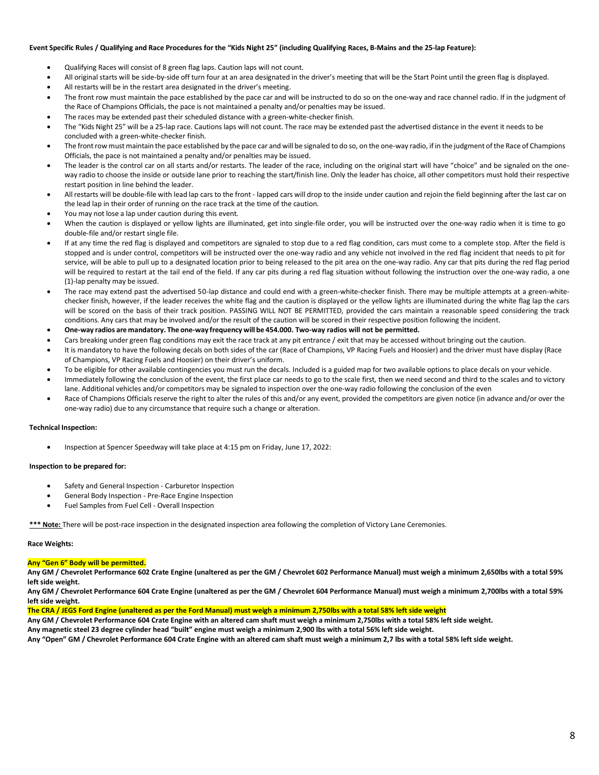### **Event Specific Rules / Qualifying and Race Procedures for the "Kids Night 25" (including Qualifying Races, B-Mains and the 25-lap Feature):**

- Qualifying Races will consist of 8 green flag laps. Caution laps will not count.
- All original starts will be side-by-side off turn four at an area designated in the driver's meeting that will be the Start Point until the green flag is displayed.
- All restarts will be in the restart area designated in the driver's meeting.
- The front row must maintain the pace established by the pace car and will be instructed to do so on the one-way and race channel radio. If in the judgment of the Race of Champions Officials, the pace is not maintained a penalty and/or penalties may be issued.
- The races may be extended past their scheduled distance with a green-white-checker finish.
- The "Kids Night 25" will be a 25-lap race. Cautions laps will not count. The race may be extended past the advertised distance in the event it needs to be concluded with a green-white-checker finish.
- The front row must maintain the pace established by the pace car and will be signaled to do so, on the one-way radio, if in the judgment of the Race of Champions Officials, the pace is not maintained a penalty and/or penalties may be issued.
- The leader is the control car on all starts and/or restarts. The leader of the race, including on the original start will have "choice" and be signaled on the oneway radio to choose the inside or outside lane prior to reaching the start/finish line. Only the leader has choice, all other competitors must hold their respective restart position in line behind the leader.
- All restarts will be double-file with lead lap cars to the front lapped cars will drop to the inside under caution and rejoin the field beginning after the last car on the lead lap in their order of running on the race track at the time of the caution.
- You may not lose a lap under caution during this event.
- When the caution is displayed or yellow lights are illuminated, get into single-file order, you will be instructed over the one-way radio when it is time to go double-file and/or restart single file.
- If at any time the red flag is displayed and competitors are signaled to stop due to a red flag condition, cars must come to a complete stop. After the field is stopped and is under control, competitors will be instructed over the one-way radio and any vehicle not involved in the red flag incident that needs to pit for service, will be able to pull up to a designated location prior to being released to the pit area on the one-way radio. Any car that pits during the red flag period will be required to restart at the tail end of the field. If any car pits during a red flag situation without following the instruction over the one-way radio, a one (1)-lap penalty may be issued.
- The race may extend past the advertised 50-lap distance and could end with a green-white-checker finish. There may be multiple attempts at a green-whitechecker finish, however, if the leader receives the white flag and the caution is displayed or the yellow lights are illuminated during the white flag lap the cars will be scored on the basis of their track position. PASSING WILL NOT BE PERMITTED, provided the cars maintain a reasonable speed considering the track conditions. Any cars that may be involved and/or the result of the caution will be scored in their respective position following the incident.
- **One-way radios are mandatory. The one-way frequency will be 454.000. Two-way radios will not be permitted.**
- Cars breaking under green flag conditions may exit the race track at any pit entrance / exit that may be accessed without bringing out the caution.
- It is mandatory to have the following decals on both sides of the car (Race of Champions, VP Racing Fuels and Hoosier) and the driver must have display (Race of Champions, VP Racing Fuels and Hoosier) on their driver's uniform.
- To be eligible for other available contingencies you must run the decals. Included is a guided map for two available options to place decals on your vehicle.
- Immediately following the conclusion of the event, the first place car needs to go to the scale first, then we need second and third to the scales and to victory lane. Additional vehicles and/or competitors may be signaled to inspection over the one-way radio following the conclusion of the even
- Race of Champions Officials reserve the right to alter the rules of this and/or any event, provided the competitors are given notice (in advance and/or over the one-way radio) due to any circumstance that require such a change or alteration.

#### **Technical Inspection:**

• Inspection at Spencer Speedway will take place at 4:15 pm on Friday, June 17, 2022:

#### **Inspection to be prepared for:**

- Safety and General Inspection Carburetor Inspection
- General Body Inspection Pre-Race Engine Inspection
- Fuel Samples from Fuel Cell Overall Inspection

**\*\*\* Note:** There will be post-race inspection in the designated inspection area following the completion of Victory Lane Ceremonies.

#### **Race Weights:**

#### **Any "Gen 6" Body will be permitted.**

**Any GM / Chevrolet Performance 602 Crate Engine (unaltered as per the GM / Chevrolet 602 Performance Manual) must weigh a minimum 2,650lbs with a total 59% left side weight.**

**Any GM / Chevrolet Performance 604 Crate Engine (unaltered as per the GM / Chevrolet 604 Performance Manual) must weigh a minimum 2,700lbs with a total 59% left side weight.**

**The CRA / JEGS Ford Engine (unaltered as per the Ford Manual) must weigh a minimum 2,750lbs with a total 58% left side weight**

**Any GM / Chevrolet Performance 604 Crate Engine with an altered cam shaft must weigh a minimum 2,750lbs with a total 58% left side weight.**

**Any magnetic steel 23 degree cylinder head "built" engine must weigh a minimum 2,900 lbs with a total 56% left side weight.**

**Any "Open" GM / Chevrolet Performance 604 Crate Engine with an altered cam shaft must weigh a minimum 2,7 lbs with a total 58% left side weight.**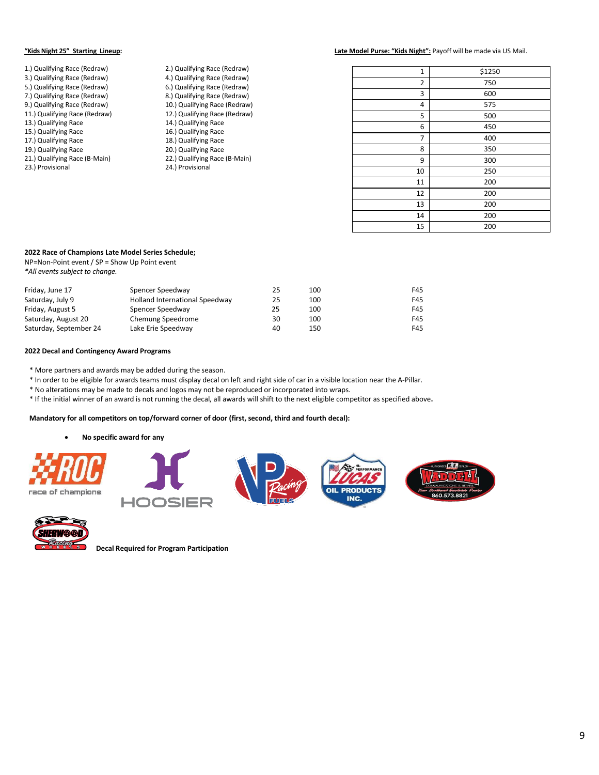#### **"Kids Night 25" Starting Lineup: Late Model Purse: "Kids Night":** Payoff will be made via US Mail.

| 1.) Qualifying Race (Redraw)  | 2.) Qualifying Race (Redraw)  |
|-------------------------------|-------------------------------|
| 3.) Qualifying Race (Redraw)  | 4.) Qualifying Race (Redraw)  |
| 5.) Qualifying Race (Redraw)  | 6.) Qualifying Race (Redraw)  |
| 7.) Qualifying Race (Redraw)  | 8.) Qualifying Race (Redraw)  |
| 9.) Qualifying Race (Redraw)  | 10.) Qualifying Race (Redraw) |
| 11.) Qualifying Race (Redraw) | 12.) Qualifying Race (Redraw) |
| 13.) Qualifying Race          | 14.) Qualifying Race          |
| 15.) Qualifying Race          | 16.) Qualifying Race          |
| 17.) Qualifying Race          | 18.) Qualifying Race          |
| 19.) Qualifying Race          | 20.) Qualifying Race          |
| 21.) Qualifying Race (B-Main) | 22.) Qualifying Race (B-Main) |
| 23.) Provisional              | 24.) Provisional              |
|                               |                               |

| 1  | \$1250 |
|----|--------|
| 2  | 750    |
| 3  | 600    |
| 4  | 575    |
| 5  | 500    |
| 6  | 450    |
| 7  | 400    |
| 8  | 350    |
| 9  | 300    |
| 10 | 250    |
| 11 | 200    |
| 12 | 200    |
| 13 | 200    |
| 14 | 200    |
| 15 | 200    |
|    |        |

## **2022 Race of Champions Late Model Series Schedule;**

NP=Non-Point event / SP = Show Up Point event *\*All events subject to change.*

| Friday, June 17        | Spencer Speedway               | 25 | 100 | F45 |
|------------------------|--------------------------------|----|-----|-----|
| Saturday, July 9       | Holland International Speedway | 25 | 100 | F45 |
| Friday, August 5       | Spencer Speedway               | 25 | 100 | F45 |
| Saturday, August 20    | Chemung Speedrome              | 30 | 100 | F45 |
| Saturday, September 24 | Lake Erie Speedway             | 40 | 150 | F45 |

### **2022 Decal and Contingency Award Programs**

\* More partners and awards may be added during the season.

\* In order to be eligible for awards teams must display decal on left and right side of car in a visible location near the A-Pillar.

\* No alterations may be made to decals and logos may not be reproduced or incorporated into wraps.

\* If the initial winner of an award is not running the decal, all awards will shift to the next eligible competitor as specified above**.** 

# **Mandatory for all competitors on top/forward corner of door (first, second, third and fourth decal):**

• **No specific award for any**





**Decal Required for Program Participation**